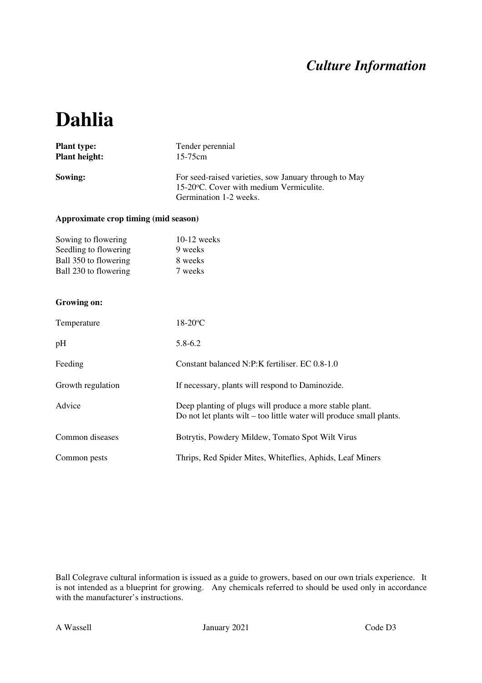### *Culture Information*

# **Dahlia**

| <b>Plant type:</b>   | Tender perennial                                                                                                            |  |  |
|----------------------|-----------------------------------------------------------------------------------------------------------------------------|--|--|
| <b>Plant height:</b> | $15 - 75$ cm                                                                                                                |  |  |
| Sowing:              | For seed-raised varieties, sow January through to May<br>15-20 °C. Cover with medium Vermiculite.<br>Germination 1-2 weeks. |  |  |

#### **Approximate crop timing (mid season)**

| Sowing to flowering   | $10-12$ weeks |
|-----------------------|---------------|
| Seedling to flowering | 9 weeks       |
| Ball 350 to flowering | 8 weeks       |
| Ball 230 to flowering | 7 weeks       |

#### **Growing on:**

| Temperature       | $18-20$ °C                                                                                                                       |  |  |
|-------------------|----------------------------------------------------------------------------------------------------------------------------------|--|--|
| pH                | $5.8 - 6.2$                                                                                                                      |  |  |
| Feeding           | Constant balanced N:P:K fertiliser. EC 0.8-1.0                                                                                   |  |  |
| Growth regulation | If necessary, plants will respond to Daminozide.                                                                                 |  |  |
| Advice            | Deep planting of plugs will produce a more stable plant.<br>Do not let plants wilt – too little water will produce small plants. |  |  |
| Common diseases   | Botrytis, Powdery Mildew, Tomato Spot Wilt Virus                                                                                 |  |  |
| Common pests      | Thrips, Red Spider Mites, Whiteflies, Aphids, Leaf Miners                                                                        |  |  |

Ball Colegrave cultural information is issued as a guide to growers, based on our own trials experience. It is not intended as a blueprint for growing. Any chemicals referred to should be used only in accordance with the manufacturer's instructions.